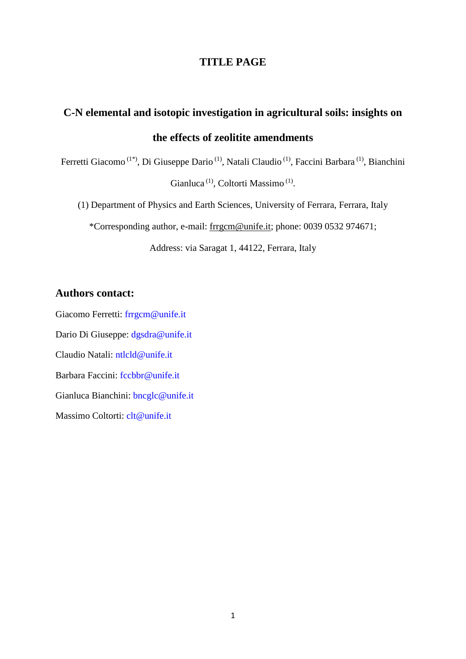# **TITLE PAGE**

# **C-N elemental and isotopic investigation in agricultural soils: insights on**

# **the effects of zeolitite amendments**

Ferretti Giacomo<sup>(1\*)</sup>, Di Giuseppe Dario<sup>(1)</sup>, Natali Claudio<sup>(1)</sup>, Faccini Barbara<sup>(1)</sup>, Bianchini

Gianluca<sup>(1)</sup>, Coltorti Massimo<sup>(1)</sup>.

(1) Department of Physics and Earth Sciences, University of Ferrara, Ferrara, Italy

\*Corresponding author, e-mail: [frrgcm@unife.it;](mailto:frrgcm@unife.it) phone: 0039 0532 974671;

Address: via Saragat 1, 44122, Ferrara, Italy

# **Authors contact:**

Giacomo Ferretti: [frrgcm@unife.it](mailto:frrgcm@unife.it) Dario Di Giuseppe: [dgsdra@unife.it](mailto:dgsdra@unife.it) Claudio Natali: [ntlcld@unife.it](mailto:ntlcld@unife.it) Barbara Faccini: [fccbbr@unife.it](mailto:fccbbr@unife.it) Gianluca Bianchini: [bncglc@unife.it](mailto:bncglc@unife.it) Massimo Coltorti: clt@unife.it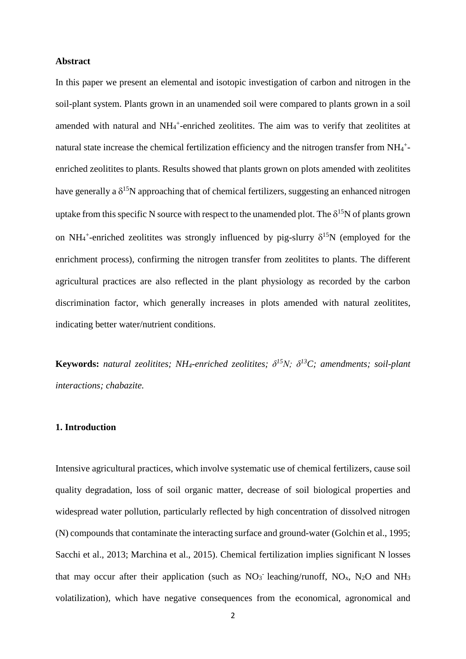### **Abstract**

In this paper we present an elemental and isotopic investigation of carbon and nitrogen in the soil-plant system. Plants grown in an unamended soil were compared to plants grown in a soil amended with natural and NH<sub>4</sub><sup>+</sup>-enriched zeolitites. The aim was to verify that zeolitites at natural state increase the chemical fertilization efficiency and the nitrogen transfer from  $NH_4^+$ enriched zeolitites to plants. Results showed that plants grown on plots amended with zeolitites have generally a  $\delta^{15}N$  approaching that of chemical fertilizers, suggesting an enhanced nitrogen uptake from this specific N source with respect to the unamended plot. The  $\delta^{15}N$  of plants grown on NH<sub>4</sub><sup>+</sup>-enriched zeolitites was strongly influenced by pig-slurry  $\delta^{15}N$  (employed for the enrichment process), confirming the nitrogen transfer from zeolitites to plants. The different agricultural practices are also reflected in the plant physiology as recorded by the carbon discrimination factor, which generally increases in plots amended with natural zeolitites, indicating better water/nutrient conditions.

**Keywords:** *natural zeolitites; NH4-enriched zeolitites; δ <sup>15</sup>N; δ<sup>13</sup>C; amendments; soil-plant interactions; chabazite.*

# **1. Introduction**

Intensive agricultural practices, which involve systematic use of chemical fertilizers, cause soil quality degradation, loss of soil organic matter, decrease of soil biological properties and widespread water pollution, particularly reflected by high concentration of dissolved nitrogen (N) compounds that contaminate the interacting surface and ground-water (Golchin et al., 1995; Sacchi et al., 2013; Marchina et al., 2015). Chemical fertilization implies significant N losses that may occur after their application (such as  $NO_3$ <sup>-</sup> leaching/runoff,  $NO_x$ ,  $N_2O$  and  $NH_3$ volatilization), which have negative consequences from the economical, agronomical and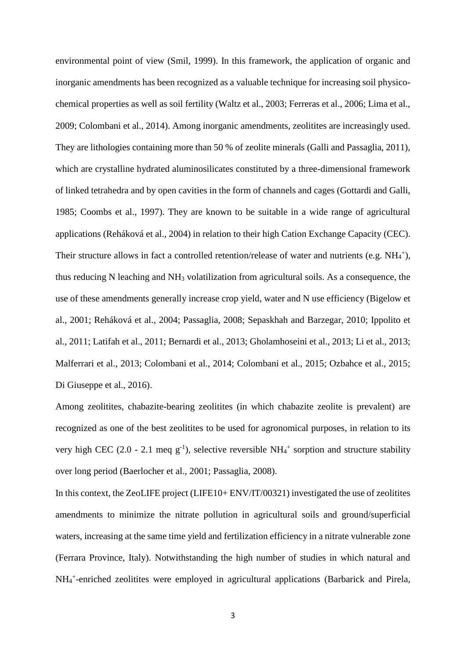environmental point of view (Smil, 1999). In this framework, the application of organic and inorganic amendments has been recognized as a valuable technique for increasing soil physicochemical properties as well as soil fertility (Waltz et al., 2003; Ferreras et al., 2006; Lima et al., 2009; Colombani et al., 2014). Among inorganic amendments, zeolitites are increasingly used. They are lithologies containing more than 50 % of zeolite minerals (Galli and Passaglia, 2011), which are crystalline hydrated aluminosilicates constituted by a three-dimensional framework of linked tetrahedra and by open cavities in the form of channels and cages (Gottardi and Galli, 1985; Coombs et al., 1997). They are known to be suitable in a wide range of agricultural applications (Reháková et al., 2004) in relation to their high Cation Exchange Capacity (CEC). Their structure allows in fact a controlled retention/release of water and nutrients (e.g.  $NH_4^+$ ), thus reducing N leaching and NH<sup>3</sup> volatilization from agricultural soils. As a consequence, the use of these amendments generally increase crop yield, water and N use efficiency (Bigelow et al., 2001; Reháková et al., 2004; Passaglia, 2008; Sepaskhah and Barzegar, 2010; Ippolito et al., 2011; Latifah et al., 2011; Bernardi et al., 2013; Gholamhoseini et al., 2013; Li et al., 2013; Malferrari et al., 2013; Colombani et al., 2014; Colombani et al., 2015; Ozbahce et al., 2015; Di Giuseppe et al., 2016).

Among zeolitites, chabazite-bearing zeolitites (in which chabazite zeolite is prevalent) are recognized as one of the best zeolitites to be used for agronomical purposes, in relation to its very high CEC (2.0 - 2.1 meq  $g^{-1}$ ), selective reversible NH<sub>4</sub><sup>+</sup> sorption and structure stability over long period (Baerlocher et al., 2001; Passaglia, 2008).

In this context, the ZeoLIFE project (LIFE10+ ENV/IT/00321) investigated the use of zeolitites amendments to minimize the nitrate pollution in agricultural soils and ground/superficial waters, increasing at the same time yield and fertilization efficiency in a nitrate vulnerable zone (Ferrara Province, Italy). Notwithstanding the high number of studies in which natural and NH<sup>4</sup> + -enriched zeolitites were employed in agricultural applications (Barbarick and Pirela,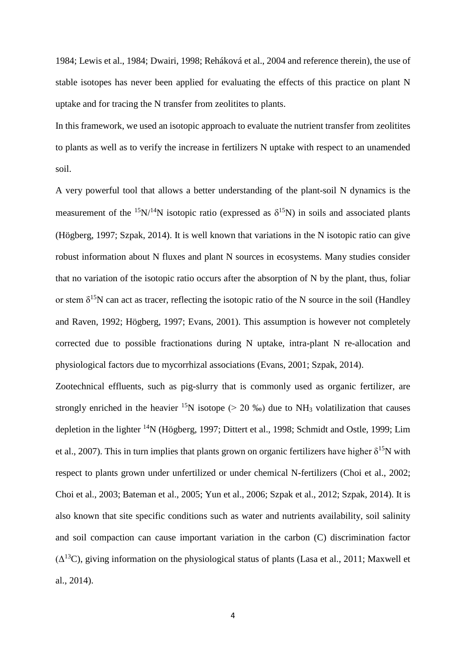1984; Lewis et al., 1984; Dwairi, 1998; Reháková et al., 2004 and reference therein), the use of stable isotopes has never been applied for evaluating the effects of this practice on plant N uptake and for tracing the N transfer from zeolitites to plants.

In this framework, we used an isotopic approach to evaluate the nutrient transfer from zeolitites to plants as well as to verify the increase in fertilizers N uptake with respect to an unamended soil.

A very powerful tool that allows a better understanding of the plant-soil N dynamics is the measurement of the <sup>15</sup>N/<sup>14</sup>N isotopic ratio (expressed as  $\delta^{15}$ N) in soils and associated plants (Högberg, 1997; Szpak, 2014). It is well known that variations in the N isotopic ratio can give robust information about N fluxes and plant N sources in ecosystems. Many studies consider that no variation of the isotopic ratio occurs after the absorption of N by the plant, thus, foliar or stem  $\delta^{15}N$  can act as tracer, reflecting the isotopic ratio of the N source in the soil (Handley and Raven, 1992; Högberg, 1997; Evans, 2001). This assumption is however not completely corrected due to possible fractionations during N uptake, intra-plant N re-allocation and physiological factors due to mycorrhizal associations (Evans, 2001; Szpak, 2014).

Zootechnical effluents, such as pig-slurry that is commonly used as organic fertilizer, are strongly enriched in the heavier  $15N$  isotope ( $> 20\%$ ) due to NH<sub>3</sub> volatilization that causes depletion in the lighter <sup>14</sup>N (Högberg, 1997; Dittert et al., 1998; Schmidt and Ostle, 1999; Lim et al., 2007). This in turn implies that plants grown on organic fertilizers have higher  $\delta^{15}N$  with respect to plants grown under unfertilized or under chemical N-fertilizers (Choi et al., 2002; Choi et al., 2003; Bateman et al., 2005; Yun et al., 2006; Szpak et al., 2012; Szpak, 2014). It is also known that site specific conditions such as water and nutrients availability, soil salinity and soil compaction can cause important variation in the carbon (C) discrimination factor  $(\Delta^{13}C)$ , giving information on the physiological status of plants (Lasa et al., 2011; Maxwell et al., 2014).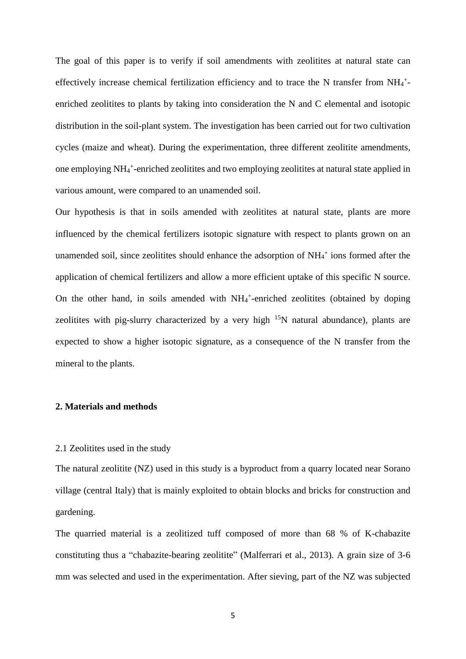The goal of this paper is to verify if soil amendments with zeolitites at natural state can effectively increase chemical fertilization efficiency and to trace the N transfer from  $NH_4$ <sup>+</sup>enriched zeolitites to plants by taking into consideration the N and C elemental and isotopic distribution in the soil-plant system. The investigation has been carried out for two cultivation cycles (maize and wheat). During the experimentation, three different zeolitite amendments, one employing NH<sup>4</sup> + -enriched zeolitites and two employing zeolitites at natural state applied in various amount, were compared to an unamended soil.

Our hypothesis is that in soils amended with zeolitites at natural state, plants are more influenced by the chemical fertilizers isotopic signature with respect to plants grown on an unamended soil, since zeolitites should enhance the adsorption of  $NH<sub>4</sub><sup>+</sup>$  ions formed after the application of chemical fertilizers and allow a more efficient uptake of this specific N source. On the other hand, in soils amended with  $NH_4^+$ -enriched zeolitites (obtained by doping zeolitites with pig-slurry characterized by a very high  $15N$  natural abundance), plants are expected to show a higher isotopic signature, as a consequence of the N transfer from the mineral to the plants.

# **2. Materials and methods**

#### 2.1 Zeolitites used in the study

The natural zeolitite (NZ) used in this study is a byproduct from a quarry located near Sorano village (central Italy) that is mainly exploited to obtain blocks and bricks for construction and gardening.

The quarried material is a zeolitized tuff composed of more than 68 % of K-chabazite constituting thus a "chabazite-bearing zeolitite" (Malferrari et al., 2013). A grain size of 3-6 mm was selected and used in the experimentation. After sieving, part of the NZ was subjected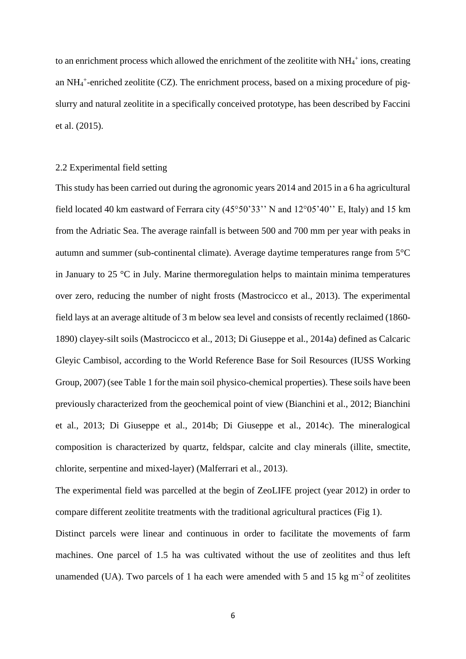to an enrichment process which allowed the enrichment of the zeolitite with  $NH_4^+$  ions, creating an NH<sup>4</sup> + -enriched zeolitite (CZ). The enrichment process, based on a mixing procedure of pigslurry and natural zeolitite in a specifically conceived prototype, has been described by Faccini et al. (2015).

# 2.2 Experimental field setting

This study has been carried out during the agronomic years 2014 and 2015 in a 6 ha agricultural field located 40 km eastward of Ferrara city (45°50'33'' N and 12°05'40'' E, Italy) and 15 km from the Adriatic Sea. The average rainfall is between 500 and 700 mm per year with peaks in autumn and summer (sub-continental climate). Average daytime temperatures range from 5°C in January to 25 °C in July. Marine thermoregulation helps to maintain minima temperatures over zero, reducing the number of night frosts (Mastrocicco et al., 2013). The experimental field lays at an average altitude of 3 m below sea level and consists of recently reclaimed (1860- 1890) clayey-silt soils (Mastrocicco et al., 2013; Di Giuseppe et al., 2014a) defined as Calcaric Gleyic Cambisol, according to the World Reference Base for Soil Resources (IUSS Working Group, 2007) (see Table 1 for the main soil physico-chemical properties). These soils have been previously characterized from the geochemical point of view (Bianchini et al., 2012; Bianchini et al., 2013; Di Giuseppe et al., 2014b; Di Giuseppe et al., 2014c). The mineralogical composition is characterized by quartz, feldspar, calcite and clay minerals (illite, smectite, chlorite, serpentine and mixed-layer) (Malferrari et al., 2013).

The experimental field was parcelled at the begin of ZeoLIFE project (year 2012) in order to compare different zeolitite treatments with the traditional agricultural practices (Fig 1).

Distinct parcels were linear and continuous in order to facilitate the movements of farm machines. One parcel of 1.5 ha was cultivated without the use of zeolitites and thus left unamended (UA). Two parcels of 1 ha each were amended with 5 and 15 kg  $m<sup>2</sup>$  of zeolitites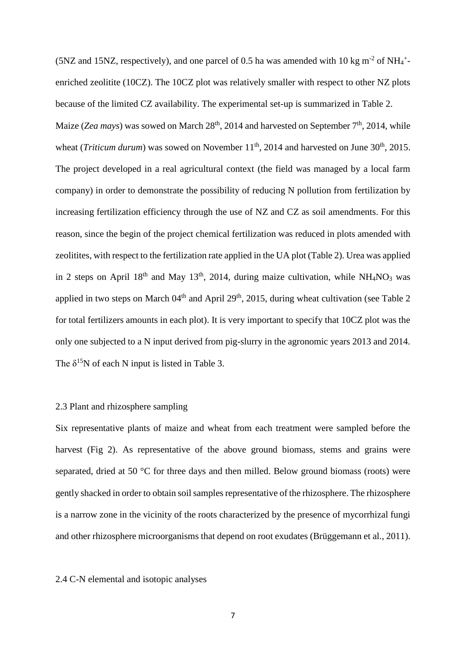(5NZ and 15NZ, respectively), and one parcel of 0.5 ha was amended with 10 kg  $m<sup>-2</sup>$  of NH<sub>4</sub><sup>+</sup>enriched zeolitite (10CZ). The 10CZ plot was relatively smaller with respect to other NZ plots because of the limited CZ availability. The experimental set-up is summarized in Table 2. Maize (*Zea mays*) was sowed on March 28<sup>th</sup>, 2014 and harvested on September 7<sup>th</sup>, 2014, while wheat (*Triticum durum*) was sowed on November 11<sup>th</sup>, 2014 and harvested on June 30<sup>th</sup>, 2015. The project developed in a real agricultural context (the field was managed by a local farm company) in order to demonstrate the possibility of reducing N pollution from fertilization by increasing fertilization efficiency through the use of NZ and CZ as soil amendments. For this reason, since the begin of the project chemical fertilization was reduced in plots amended with zeolitites, with respect to the fertilization rate applied in the UA plot (Table 2). Urea was applied in 2 steps on April  $18<sup>th</sup>$  and May  $13<sup>th</sup>$ , 2014, during maize cultivation, while NH<sub>4</sub>NO<sub>3</sub> was applied in two steps on March  $04<sup>th</sup>$  and April 29<sup>th</sup>, 2015, during wheat cultivation (see Table 2) for total fertilizers amounts in each plot). It is very important to specify that 10CZ plot was the only one subjected to a N input derived from pig-slurry in the agronomic years 2013 and 2014. The  $\delta^{15}N$  of each N input is listed in Table 3.

# 2.3 Plant and rhizosphere sampling

Six representative plants of maize and wheat from each treatment were sampled before the harvest (Fig 2). As representative of the above ground biomass, stems and grains were separated, dried at 50 °C for three days and then milled. Below ground biomass (roots) were gently shacked in order to obtain soil samples representative of the rhizosphere. The rhizosphere is a narrow zone in the vicinity of the roots characterized by the presence of mycorrhizal fungi and other rhizosphere microorganisms that depend on root exudates (Brüggemann et al., 2011).

# 2.4 C-N elemental and isotopic analyses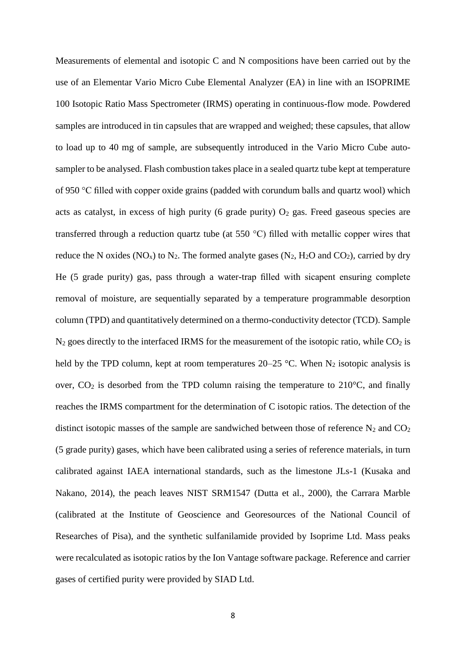Measurements of elemental and isotopic C and N compositions have been carried out by the use of an Elementar Vario Micro Cube Elemental Analyzer (EA) in line with an ISOPRIME 100 Isotopic Ratio Mass Spectrometer (IRMS) operating in continuous-flow mode. Powdered samples are introduced in tin capsules that are wrapped and weighed; these capsules, that allow to load up to 40 mg of sample, are subsequently introduced in the Vario Micro Cube autosampler to be analysed. Flash combustion takes place in a sealed quartz tube kept at temperature of 950 °C filled with copper oxide grains (padded with corundum balls and quartz wool) which acts as catalyst, in excess of high purity (6 grade purity)  $O_2$  gas. Freed gaseous species are transferred through a reduction quartz tube (at 550 °C) filled with metallic copper wires that reduce the N oxides (NO<sub>x</sub>) to N<sub>2</sub>. The formed analyte gases (N<sub>2</sub>, H<sub>2</sub>O and CO<sub>2</sub>), carried by dry He (5 grade purity) gas, pass through a water-trap filled with sicapent ensuring complete removal of moisture, are sequentially separated by a temperature programmable desorption column (TPD) and quantitatively determined on a thermo-conductivity detector (TCD). Sample  $N_2$  goes directly to the interfaced IRMS for the measurement of the isotopic ratio, while  $CO_2$  is held by the TPD column, kept at room temperatures  $20-25$  °C. When N<sub>2</sub> isotopic analysis is over,  $CO_2$  is desorbed from the TPD column raising the temperature to  $210^{\circ}$ C, and finally reaches the IRMS compartment for the determination of C isotopic ratios. The detection of the distinct isotopic masses of the sample are sandwiched between those of reference  $N_2$  and  $CO_2$ (5 grade purity) gases, which have been calibrated using a series of reference materials, in turn calibrated against IAEA international standards, such as the limestone JLs-1 (Kusaka and Nakano, 2014), the peach leaves NIST SRM1547 (Dutta et al., 2000), the Carrara Marble (calibrated at the Institute of Geoscience and Georesources of the National Council of Researches of Pisa), and the synthetic sulfanilamide provided by Isoprime Ltd. Mass peaks were recalculated as isotopic ratios by the Ion Vantage software package. Reference and carrier gases of certified purity were provided by SIAD Ltd.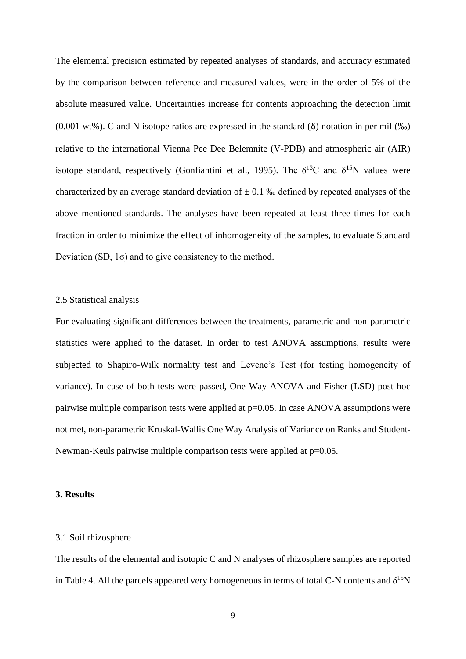The elemental precision estimated by repeated analyses of standards, and accuracy estimated by the comparison between reference and measured values, were in the order of 5% of the absolute measured value. Uncertainties increase for contents approaching the detection limit (0.001 wt%). C and N isotope ratios are expressed in the standard  $(\delta)$  notation in per mil  $\left(\% \right)$ relative to the international Vienna Pee Dee Belemnite (V-PDB) and atmospheric air (AIR) isotope standard, respectively (Gonfiantini et al., 1995). The  $\delta^{13}C$  and  $\delta^{15}N$  values were characterized by an average standard deviation of  $\pm$  0.1 ‰ defined by repeated analyses of the above mentioned standards. The analyses have been repeated at least three times for each fraction in order to minimize the effect of inhomogeneity of the samples, to evaluate Standard Deviation (SD,  $1\sigma$ ) and to give consistency to the method.

#### 2.5 Statistical analysis

For evaluating significant differences between the treatments, parametric and non-parametric statistics were applied to the dataset. In order to test ANOVA assumptions, results were subjected to Shapiro-Wilk normality test and Levene's Test (for testing homogeneity of variance). In case of both tests were passed, One Way ANOVA and Fisher (LSD) post-hoc pairwise multiple comparison tests were applied at p=0.05. In case ANOVA assumptions were not met, non-parametric Kruskal-Wallis One Way Analysis of Variance on Ranks and Student-Newman-Keuls pairwise multiple comparison tests were applied at p=0.05.

# **3. Results**

### 3.1 Soil rhizosphere

The results of the elemental and isotopic C and N analyses of rhizosphere samples are reported in Table 4. All the parcels appeared very homogeneous in terms of total C-N contents and  $\delta^{15}N$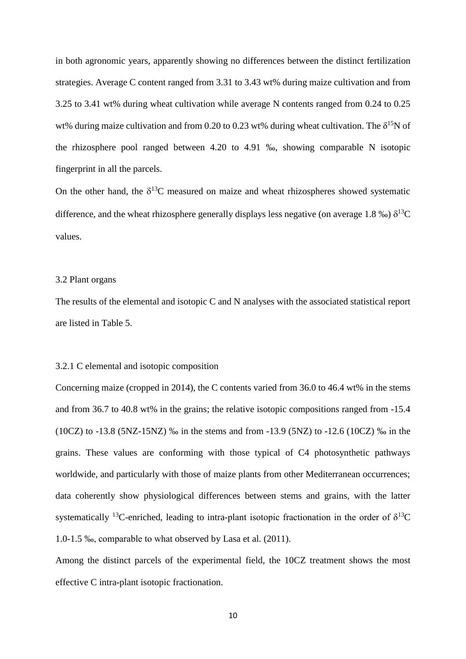in both agronomic years, apparently showing no differences between the distinct fertilization strategies. Average C content ranged from 3.31 to 3.43 wt% during maize cultivation and from 3.25 to 3.41 wt% during wheat cultivation while average N contents ranged from 0.24 to 0.25 wt% during maize cultivation and from 0.20 to 0.23 wt% during wheat cultivation. The  $\delta^{15}N$  of the rhizosphere pool ranged between 4.20 to 4.91 ‰, showing comparable N isotopic fingerprint in all the parcels.

On the other hand, the  $\delta^{13}$ C measured on maize and wheat rhizospheres showed systematic difference, and the wheat rhizosphere generally displays less negative (on average 1.8 ‰)  $\delta^{13}C$ values.

## 3.2 Plant organs

The results of the elemental and isotopic C and N analyses with the associated statistical report are listed in Table 5.

# 3.2.1 C elemental and isotopic composition

Concerning maize (cropped in 2014), the C contents varied from 36.0 to 46.4 wt% in the stems and from 36.7 to 40.8 wt% in the grains; the relative isotopic compositions ranged from -15.4 (10CZ) to -13.8 (5NZ-15NZ) ‰ in the stems and from -13.9 (5NZ) to -12.6 (10CZ) ‰ in the grains. These values are conforming with those typical of C4 photosynthetic pathways worldwide, and particularly with those of maize plants from other Mediterranean occurrences; data coherently show physiological differences between stems and grains, with the latter systematically <sup>13</sup>C-enriched, leading to intra-plant isotopic fractionation in the order of  $\delta^{13}C$ 1.0-1.5 ‰, comparable to what observed by Lasa et al. (2011).

Among the distinct parcels of the experimental field, the 10CZ treatment shows the most effective C intra-plant isotopic fractionation.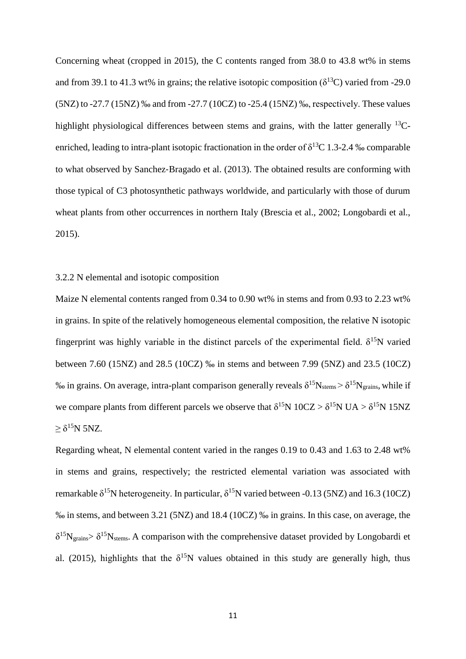Concerning wheat (cropped in 2015), the C contents ranged from 38.0 to 43.8 wt% in stems and from 39.1 to 41.3 wt% in grains; the relative isotopic composition ( $\delta^{13}$ C) varied from -29.0 (5NZ) to -27.7 (15NZ) ‰ and from -27.7 (10CZ) to -25.4 (15NZ) ‰, respectively. These values highlight physiological differences between stems and grains, with the latter generally  $^{13}$ Cenriched, leading to intra-plant isotopic fractionation in the order of  $\delta^{13}C$  1.3-2.4 ‰ comparable to what observed by Sanchez‐Bragado et al. (2013). The obtained results are conforming with those typical of C3 photosynthetic pathways worldwide, and particularly with those of durum wheat plants from other occurrences in northern Italy (Brescia et al., 2002; Longobardi et al., 2015).

# 3.2.2 N elemental and isotopic composition

Maize N elemental contents ranged from 0.34 to 0.90 wt% in stems and from 0.93 to 2.23 wt% in grains. In spite of the relatively homogeneous elemental composition, the relative N isotopic fingerprint was highly variable in the distinct parcels of the experimental field.  $\delta^{15}N$  varied between 7.60 (15NZ) and 28.5 (10CZ) ‰ in stems and between 7.99 (5NZ) and 23.5 (10CZ) % in grains. On average, intra-plant comparison generally reveals  $\delta^{15}N_{\text{stems}} > \delta^{15}N_{\text{grains}}$ , while if we compare plants from different parcels we observe that  $\delta^{15}N$  10CZ  $> \delta^{15}N$  UA  $> \delta^{15}N$  15NZ  $\geq \delta^{15}N$  5NZ.

Regarding wheat, N elemental content varied in the ranges 0.19 to 0.43 and 1.63 to 2.48 wt% in stems and grains, respectively; the restricted elemental variation was associated with remarkable  $\delta^{15}N$  heterogeneity. In particular,  $\delta^{15}N$  varied between -0.13 (5NZ) and 16.3 (10CZ) ‰ in stems, and between 3.21 (5NZ) and 18.4 (10CZ) ‰ in grains. In this case, on average, the  $\delta^{15}N_{\text{grains}} > \delta^{15}N_{\text{stems}}$ . A comparison with the comprehensive dataset provided by Longobardi et al. (2015), highlights that the  $\delta^{15}N$  values obtained in this study are generally high, thus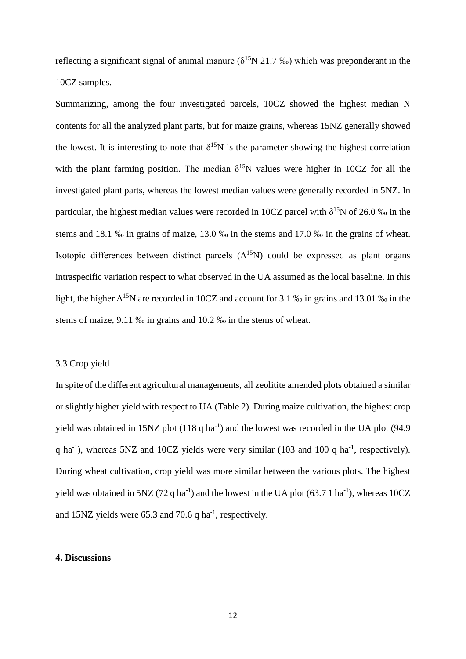reflecting a significant signal of animal manure ( $\delta^{15}N$  21.7 ‰) which was preponderant in the 10CZ samples.

Summarizing, among the four investigated parcels, 10CZ showed the highest median N contents for all the analyzed plant parts, but for maize grains, whereas 15NZ generally showed the lowest. It is interesting to note that  $\delta^{15}N$  is the parameter showing the highest correlation with the plant farming position. The median  $\delta^{15}N$  values were higher in 10CZ for all the investigated plant parts, whereas the lowest median values were generally recorded in 5NZ. In particular, the highest median values were recorded in 10CZ parcel with  $\delta^{15}N$  of 26.0 ‰ in the stems and 18.1 ‰ in grains of maize, 13.0 ‰ in the stems and 17.0 ‰ in the grains of wheat. Isotopic differences between distinct parcels  $(\Delta^{15}N)$  could be expressed as plant organs intraspecific variation respect to what observed in the UA assumed as the local baseline. In this light, the higher  $\Delta^{15}N$  are recorded in 10CZ and account for 3.1 ‰ in grains and 13.01 ‰ in the stems of maize, 9.11 ‰ in grains and 10.2 ‰ in the stems of wheat.

#### 3.3 Crop yield

In spite of the different agricultural managements, all zeolitite amended plots obtained a similar or slightly higher yield with respect to UA (Table 2). During maize cultivation, the highest crop yield was obtained in 15NZ plot  $(118 \text{ q ha}^{-1})$  and the lowest was recorded in the UA plot (94.9) q ha<sup>-1</sup>), whereas 5NZ and 10CZ yields were very similar (103 and 100 q ha<sup>-1</sup>, respectively). During wheat cultivation, crop yield was more similar between the various plots. The highest yield was obtained in 5NZ (72 q ha<sup>-1</sup>) and the lowest in the UA plot (63.7 1 ha<sup>-1</sup>), whereas 10CZ and 15NZ yields were  $65.3$  and 70.6 q ha<sup>-1</sup>, respectively.

#### **4. Discussions**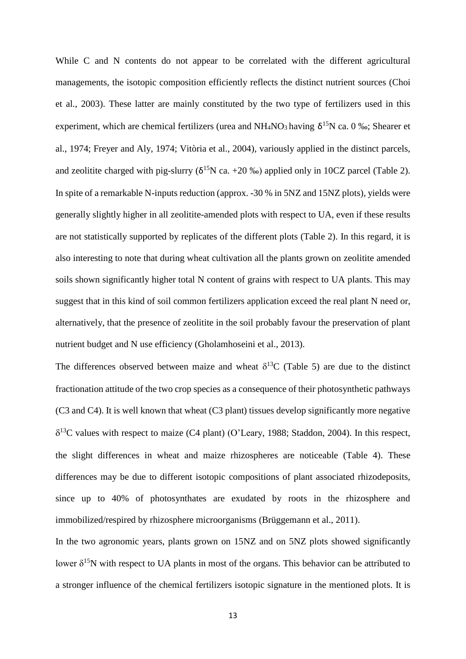While C and N contents do not appear to be correlated with the different agricultural managements, the isotopic composition efficiently reflects the distinct nutrient sources (Choi et al., 2003). These latter are mainly constituted by the two type of fertilizers used in this experiment, which are chemical fertilizers (urea and  $NH_4NO_3$  having  $\delta^{15}N$  ca. 0 ‰; Shearer et al., 1974; Freyer and Aly, 1974; Vitòria et al., 2004), variously applied in the distinct parcels, and zeolitite charged with pig-slurry ( $\delta^{15}N$  ca. +20 ‰) applied only in 10CZ parcel (Table 2). In spite of a remarkable N-inputs reduction (approx. -30 % in 5NZ and 15NZ plots), yields were generally slightly higher in all zeolitite-amended plots with respect to UA, even if these results are not statistically supported by replicates of the different plots (Table 2). In this regard, it is also interesting to note that during wheat cultivation all the plants grown on zeolitite amended soils shown significantly higher total N content of grains with respect to UA plants. This may suggest that in this kind of soil common fertilizers application exceed the real plant N need or, alternatively, that the presence of zeolitite in the soil probably favour the preservation of plant nutrient budget and N use efficiency (Gholamhoseini et al., 2013).

The differences observed between maize and wheat  $\delta^{13}C$  (Table 5) are due to the distinct fractionation attitude of the two crop species as a consequence of their photosynthetic pathways (C3 and C4). It is well known that wheat (C3 plant) tissues develop significantly more negative  $\delta^{13}$ C values with respect to maize (C4 plant) (O'Leary, 1988; Staddon, 2004). In this respect, the slight differences in wheat and maize rhizospheres are noticeable (Table 4). These differences may be due to different isotopic compositions of plant associated rhizodeposits, since up to 40% of photosynthates are exudated by roots in the rhizosphere and immobilized/respired by rhizosphere microorganisms (Brüggemann et al., 2011).

In the two agronomic years, plants grown on 15NZ and on 5NZ plots showed significantly lower  $\delta^{15}N$  with respect to UA plants in most of the organs. This behavior can be attributed to a stronger influence of the chemical fertilizers isotopic signature in the mentioned plots. It is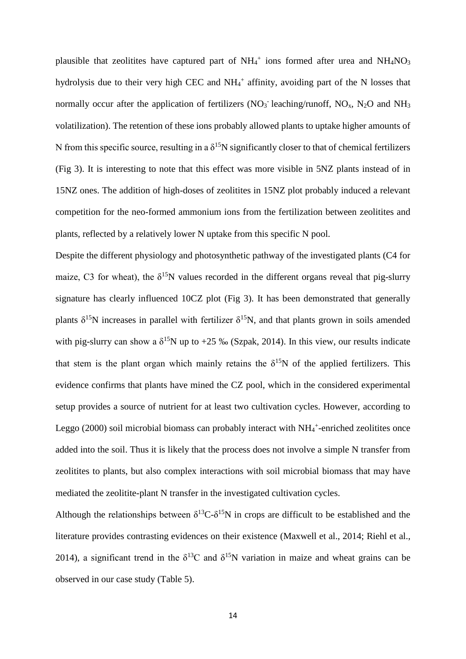plausible that zeolitites have captured part of  $NH_4^+$  ions formed after urea and  $NH_4NO_3$ hydrolysis due to their very high CEC and NH<sub>4</sub><sup>+</sup> affinity, avoiding part of the N losses that normally occur after the application of fertilizers ( $NO<sub>3</sub>$ <sup>-</sup> leaching/runoff,  $NO<sub>x</sub>$ ,  $N<sub>2</sub>O$  and  $NH<sub>3</sub>$ volatilization). The retention of these ions probably allowed plants to uptake higher amounts of N from this specific source, resulting in a  $\delta^{15}N$  significantly closer to that of chemical fertilizers (Fig 3). It is interesting to note that this effect was more visible in 5NZ plants instead of in 15NZ ones. The addition of high-doses of zeolitites in 15NZ plot probably induced a relevant competition for the neo-formed ammonium ions from the fertilization between zeolitites and plants, reflected by a relatively lower N uptake from this specific N pool.

Despite the different physiology and photosynthetic pathway of the investigated plants (C4 for maize, C3 for wheat), the  $\delta^{15}N$  values recorded in the different organs reveal that pig-slurry signature has clearly influenced 10CZ plot (Fig 3). It has been demonstrated that generally plants  $\delta^{15}$ N increases in parallel with fertilizer  $\delta^{15}$ N, and that plants grown in soils amended with pig-slurry can show a  $\delta^{15}N$  up to +25 ‰ (Szpak, 2014). In this view, our results indicate that stem is the plant organ which mainly retains the  $\delta^{15}N$  of the applied fertilizers. This evidence confirms that plants have mined the CZ pool, which in the considered experimental setup provides a source of nutrient for at least two cultivation cycles. However, according to Leggo (2000) soil microbial biomass can probably interact with NH<sub>4</sub><sup>+</sup>-enriched zeolitites once added into the soil. Thus it is likely that the process does not involve a simple N transfer from zeolitites to plants, but also complex interactions with soil microbial biomass that may have mediated the zeolitite-plant N transfer in the investigated cultivation cycles.

Although the relationships between  $\delta^{13}C - \delta^{15}N$  in crops are difficult to be established and the literature provides contrasting evidences on their existence (Maxwell et al., 2014; Riehl et al., 2014), a significant trend in the  $\delta^{13}$ C and  $\delta^{15}$ N variation in maize and wheat grains can be observed in our case study (Table 5).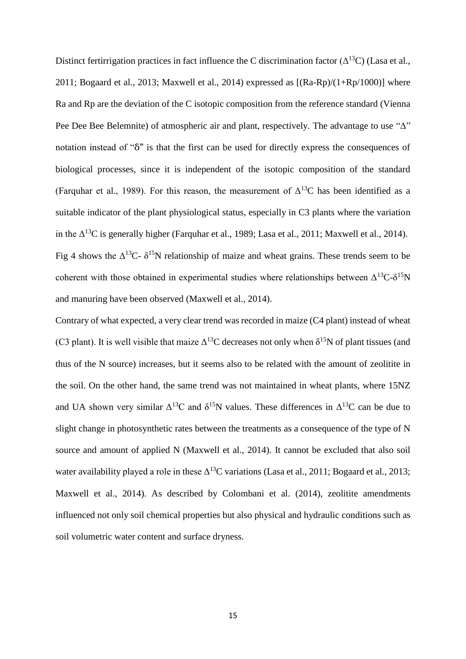Distinct fertirrigation practices in fact influence the C discrimination factor  $(\Delta^{13}C)$  (Lasa et al., 2011; Bogaard et al., 2013; Maxwell et al., 2014) expressed as  $[(Ra-Rp)/(1+Rp/1000)]$  where Ra and Rp are the deviation of the C isotopic composition from the reference standard (Vienna Pee Dee Bee Belemnite) of atmospheric air and plant, respectively. The advantage to use "Δ" notation instead of "δ" is that the first can be used for directly express the consequences of biological processes, since it is independent of the isotopic composition of the standard (Farquhar et al., 1989). For this reason, the measurement of  $\Delta^{13}$ C has been identified as a suitable indicator of the plant physiological status, especially in C3 plants where the variation in the  $\Delta^{13}$ C is generally higher (Farquhar et al., 1989; Lasa et al., 2011; Maxwell et al., 2014). Fig 4 shows the  $\Delta^{13}C$ -  $\delta^{15}N$  relationship of maize and wheat grains. These trends seem to be coherent with those obtained in experimental studies where relationships between  $\Delta^{13}C \cdot \delta^{15}N$ and manuring have been observed (Maxwell et al., 2014).

Contrary of what expected, a very clear trend was recorded in maize (C4 plant) instead of wheat (C3 plant). It is well visible that maize  $\Delta^{13}$ C decreases not only when  $\delta^{15}$ N of plant tissues (and thus of the N source) increases, but it seems also to be related with the amount of zeolitite in the soil. On the other hand, the same trend was not maintained in wheat plants, where 15NZ and UA shown very similar  $\Delta^{13}$ C and  $\delta^{15}$ N values. These differences in  $\Delta^{13}$ C can be due to slight change in photosynthetic rates between the treatments as a consequence of the type of N source and amount of applied N (Maxwell et al., 2014). It cannot be excluded that also soil water availability played a role in these  $\Delta^{13}$ C variations (Lasa et al., 2011; Bogaard et al., 2013; Maxwell et al., 2014). As described by Colombani et al. (2014), zeolitite amendments influenced not only soil chemical properties but also physical and hydraulic conditions such as soil volumetric water content and surface dryness.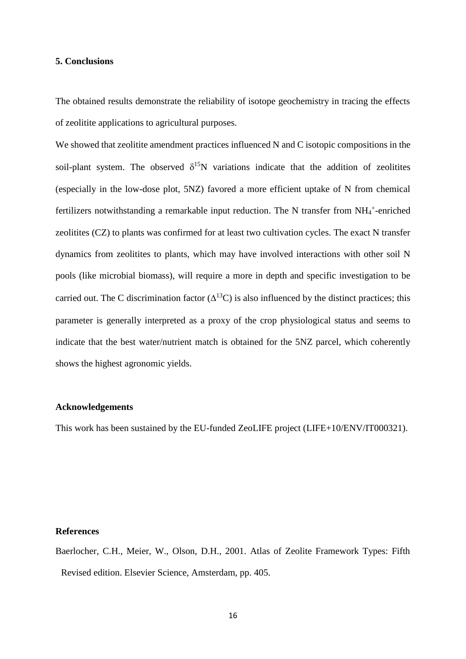#### **5. Conclusions**

The obtained results demonstrate the reliability of isotope geochemistry in tracing the effects of zeolitite applications to agricultural purposes.

We showed that zeolitite amendment practices influenced N and C isotopic compositions in the soil-plant system. The observed  $\delta^{15}N$  variations indicate that the addition of zeolitites (especially in the low-dose plot, 5NZ) favored a more efficient uptake of N from chemical fertilizers notwithstanding a remarkable input reduction. The N transfer from NH<sub>4</sub><sup>+</sup>-enriched zeolitites (CZ) to plants was confirmed for at least two cultivation cycles. The exact N transfer dynamics from zeolitites to plants, which may have involved interactions with other soil N pools (like microbial biomass), will require a more in depth and specific investigation to be carried out. The C discrimination factor  $(\Delta^{13}C)$  is also influenced by the distinct practices; this parameter is generally interpreted as a proxy of the crop physiological status and seems to indicate that the best water/nutrient match is obtained for the 5NZ parcel, which coherently shows the highest agronomic yields.

# **Acknowledgements**

This work has been sustained by the EU-funded ZeoLIFE project (LIFE+10/ENV/IT000321).

# **References**

Baerlocher, C.H., Meier, W., Olson, D.H., 2001. Atlas of Zeolite Framework Types: Fifth Revised edition. Elsevier Science, Amsterdam, pp. 405.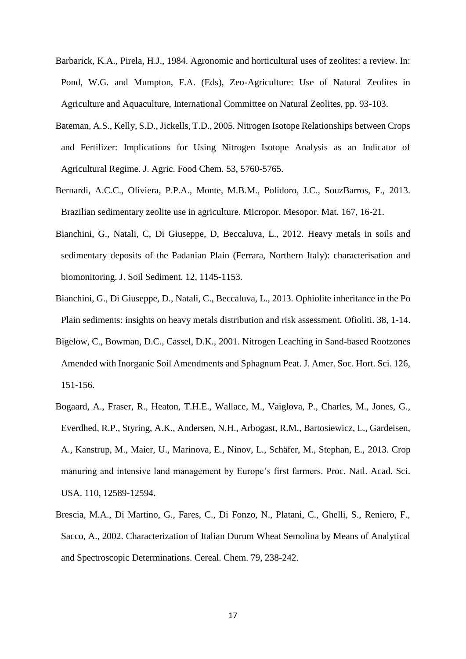- Barbarick, K.A., Pirela, H.J., 1984. Agronomic and horticultural uses of zeolites: a review. In: Pond, W.G. and Mumpton, F.A. (Eds), Zeo-Agriculture: Use of Natural Zeolites in Agriculture and Aquaculture, International Committee on Natural Zeolites, pp. 93-103.
- Bateman, A.S., Kelly, S.D., Jickells, T.D., 2005. Nitrogen Isotope Relationships between Crops and Fertilizer: Implications for Using Nitrogen Isotope Analysis as an Indicator of Agricultural Regime. J. Agric. Food Chem*.* 53, 5760-5765.
- Bernardi, A.C.C., Oliviera, P.P.A., Monte, M.B.M., Polidoro, J.C., SouzBarros, F., 2013. Brazilian sedimentary zeolite use in agriculture. Micropor. Mesopor. Mat*.* 167, 16-21.
- Bianchini, G., Natali, C, Di Giuseppe, D, Beccaluva, L., 2012. Heavy metals in soils and sedimentary deposits of the Padanian Plain (Ferrara, Northern Italy): characterisation and biomonitoring. J. Soil Sediment. 12, 1145-1153.
- Bianchini, G., Di Giuseppe, D., Natali, C., Beccaluva, L., 2013. Ophiolite inheritance in the Po Plain sediments: insights on heavy metals distribution and risk assessment. Ofioliti. 38, 1-14.
- Bigelow, C., Bowman, D.C., Cassel, D.K., 2001. Nitrogen Leaching in Sand-based Rootzones Amended with Inorganic Soil Amendments and Sphagnum Peat. J. Amer. Soc. Hort. Sci. 126, 151-156.
- Bogaard, A., Fraser, R., Heaton, T.H.E., Wallace, M., Vaiglova, P., Charles, M., Jones, G., Everdhed, R.P., Styring, A.K., Andersen, N.H., Arbogast, R.M., Bartosiewicz, L., Gardeisen, A., Kanstrup, M., Maier, U., Marinova, E., Ninov, L., Schäfer, M., Stephan, E., 2013. Crop manuring and intensive land management by Europe's first farmers. Proc. Natl. Acad. Sci. USA. 110, 12589-12594.
- Brescia, M.A., Di Martino, G., Fares, C., Di Fonzo, N., Platani, C., Ghelli, S., Reniero, F., Sacco, A., 2002. Characterization of Italian Durum Wheat Semolina by Means of Analytical and Spectroscopic Determinations. Cereal. Chem. 79, 238-242.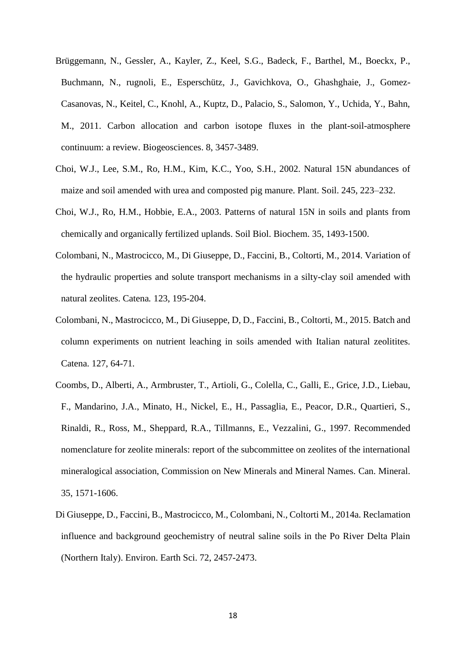- Brüggemann, N., Gessler, A., Kayler, Z., Keel, S.G., Badeck, F., Barthel, M., Boeckx, P., Buchmann, N., rugnoli, E., Esperschütz, J., Gavichkova, O., Ghashghaie, J., Gomez-Casanovas, N., Keitel, C., Knohl, A., Kuptz, D., Palacio, S., Salomon, Y., Uchida, Y., Bahn, M., 2011. Carbon allocation and carbon isotope fluxes in the plant-soil-atmosphere continuum: a review. Biogeosciences. 8, 3457-3489.
- Choi, W.J., Lee, S.M., Ro, H.M., Kim, K.C., Yoo, S.H., 2002. Natural 15N abundances of maize and soil amended with urea and composted pig manure. Plant. Soil. 245, 223–232.
- Choi, W.J., Ro, H.M., Hobbie, E.A., 2003. Patterns of natural 15N in soils and plants from chemically and organically fertilized uplands. Soil Biol. Biochem. 35, 1493-1500.
- Colombani, N., Mastrocicco, M., Di Giuseppe, D., Faccini, B., Coltorti, M., 2014. Variation of the hydraulic properties and solute transport mechanisms in a silty-clay soil amended with natural zeolites. Catena*.* 123, 195-204.
- Colombani, N., Mastrocicco, M., Di Giuseppe, D, D., Faccini, B., Coltorti, M., 2015. Batch and column experiments on nutrient leaching in soils amended with Italian natural zeolitites. Catena. 127, 64-71.
- Coombs, D., Alberti, A., Armbruster, T., Artioli, G., Colella, C., Galli, E., Grice, J.D., Liebau, F., Mandarino, J.A., Minato, H., Nickel, E., H., Passaglia, E., Peacor, D.R., Quartieri, S., Rinaldi, R., Ross, M., Sheppard, R.A., Tillmanns, E., Vezzalini, G., 1997. Recommended nomenclature for zeolite minerals: report of the subcommittee on zeolites of the international mineralogical association, Commission on New Minerals and Mineral Names. Can. Mineral. 35, 1571-1606.
- Di Giuseppe, D., Faccini, B., Mastrocicco, M., Colombani, N., Coltorti M., 2014a. Reclamation influence and background geochemistry of neutral saline soils in the Po River Delta Plain (Northern Italy). Environ. Earth Sci. 72, 2457-2473.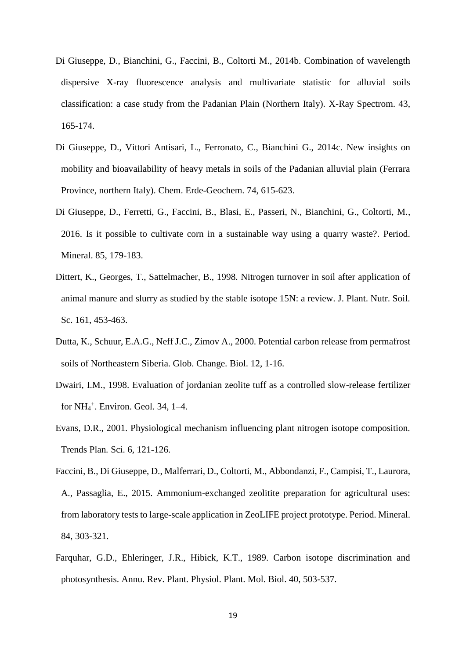- Di Giuseppe, D., Bianchini, G., Faccini, B., Coltorti M., 2014b. Combination of wavelength dispersive X-ray fluorescence analysis and multivariate statistic for alluvial soils classification: a case study from the Padanian Plain (Northern Italy). X-Ray Spectrom. 43, 165-174.
- Di Giuseppe, D., Vittori Antisari, L., Ferronato, C., Bianchini G., 2014c. New insights on mobility and bioavailability of heavy metals in soils of the Padanian alluvial plain (Ferrara Province, northern Italy). Chem. Erde-Geochem. 74, 615-623.
- Di Giuseppe, D., Ferretti, G., Faccini, B., Blasi, E., Passeri, N., Bianchini, G., Coltorti, M., 2016. Is it possible to cultivate corn in a sustainable way using a quarry waste?. Period. Mineral. 85, 179-183.
- Dittert, K., Georges, T., Sattelmacher, B., 1998. Nitrogen turnover in soil after application of animal manure and slurry as studied by the stable isotope 15N: a review. J. Plant. Nutr. Soil. Sc. 161, 453-463.
- Dutta, K., Schuur, E.A.G., Neff J.C., Zimov A., 2000. Potential carbon release from permafrost soils of Northeastern Siberia. Glob. Change. Biol. 12, 1-16.
- Dwairi, I.M., 1998. Evaluation of jordanian zeolite tuff as a controlled slow-release fertilizer for NH<sub>4</sub><sup>+</sup>. Environ. Geol. 34, 1-4.
- Evans, D.R., 2001. Physiological mechanism influencing plant nitrogen isotope composition. Trends Plan*.* Sci. 6, 121-126.
- Faccini, B., Di Giuseppe, D., Malferrari, D., Coltorti, M., Abbondanzi, F., Campisi, T., Laurora, A., Passaglia, E., 2015. Ammonium-exchanged zeolitite preparation for agricultural uses: from laboratory tests to large-scale application in ZeoLIFE project prototype. Period. Mineral. 84, 303-321.
- Farquhar, G.D., Ehleringer, J.R., Hibick, K.T., 1989. Carbon isotope discrimination and photosynthesis. Annu. Rev. Plant. Physiol. Plant. Mol. Biol. 40, 503-537.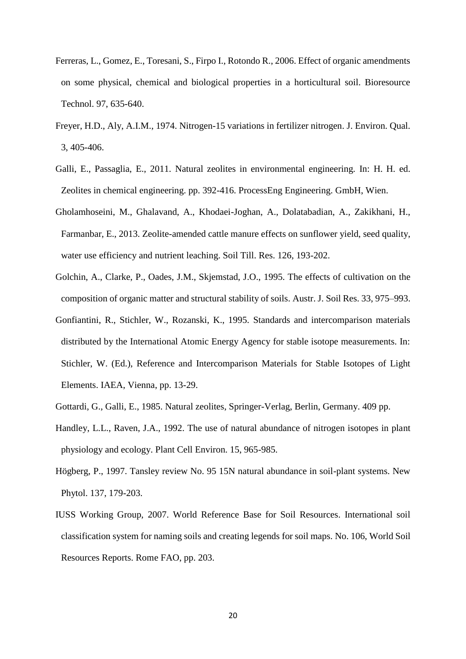- Ferreras, L., Gomez, E., Toresani, S., Firpo I., Rotondo R., 2006. Effect of organic amendments on some physical, chemical and biological properties in a horticultural soil. Bioresource Technol. 97, 635-640.
- Freyer, H.D., Aly, A.I.M., 1974. Nitrogen-15 variations in fertilizer nitrogen. J. Environ. Qual. 3, 405-406.
- Galli, E., Passaglia, E., 2011. Natural zeolites in environmental engineering. In: H. H. ed. Zeolites in chemical engineering. pp. 392-416. ProcessEng Engineering. GmbH, Wien.
- Gholamhoseini, M., Ghalavand, A., Khodaei-Joghan, A., Dolatabadian, A., Zakikhani, H., Farmanbar, E., 2013. Zeolite-amended cattle manure effects on sunflower yield, seed quality, water use efficiency and nutrient leaching. Soil Till. Res. 126, 193-202.
- Golchin, A., Clarke, P., Oades, J.M., Skjemstad, J.O., 1995. The effects of cultivation on the composition of organic matter and structural stability of soils. Austr. J. Soil Res. 33, 975–993.
- Gonfiantini, R., Stichler, W., Rozanski, K., 1995. Standards and intercomparison materials distributed by the International Atomic Energy Agency for stable isotope measurements. In: Stichler, W. (Ed.), Reference and Intercomparison Materials for Stable Isotopes of Light Elements. IAEA, Vienna, pp. 13-29.
- Gottardi, G., Galli, E., 1985. Natural zeolites, Springer-Verlag, Berlin, Germany. 409 pp.
- Handley, L.L., Raven, J.A., 1992. The use of natural abundance of nitrogen isotopes in plant physiology and ecology. Plant Cell Environ. 15, 965-985.
- Högberg, P., 1997. Tansley review No. 95 15N natural abundance in soil-plant systems. New Phytol. 137, 179-203.
- IUSS Working Group, 2007. World Reference Base for Soil Resources. International soil classification system for naming soils and creating legends for soil maps. No. 106, World Soil Resources Reports. Rome FAO, pp. 203.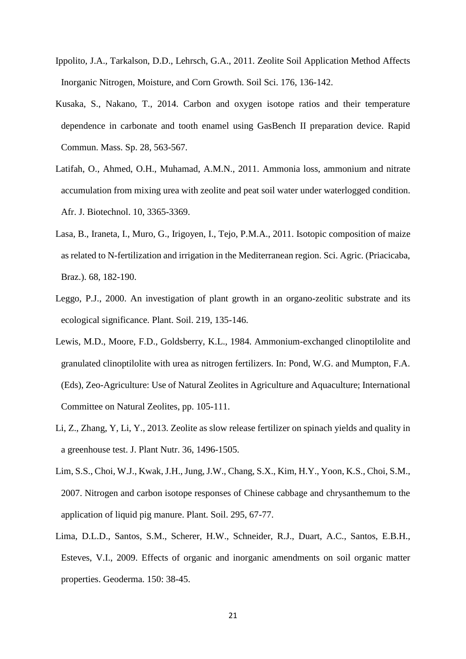- Ippolito, J.A., Tarkalson, D.D., Lehrsch, G.A., 2011. Zeolite Soil Application Method Affects Inorganic Nitrogen, Moisture, and Corn Growth. Soil Sci. 176, 136-142.
- Kusaka, S., Nakano, T., 2014. Carbon and oxygen isotope ratios and their temperature dependence in carbonate and tooth enamel using GasBench II preparation device. Rapid Commun. Mass. Sp. 28, 563-567.
- Latifah, O., Ahmed, O.H., Muhamad, A.M.N., 2011. Ammonia loss, ammonium and nitrate accumulation from mixing urea with zeolite and peat soil water under waterlogged condition. Afr. J. Biotechnol. 10, 3365-3369.
- Lasa, B., Iraneta, I., Muro, G., Irigoyen, I., Tejo, P.M.A., 2011. Isotopic composition of maize as related to N-fertilization and irrigation in the Mediterranean region. Sci. Agric. (Priacicaba, Braz.). 68, 182-190.
- Leggo, P.J., 2000. An investigation of plant growth in an organo-zeolitic substrate and its ecological significance. Plant. Soil. 219, 135-146.
- Lewis, M.D., Moore, F.D., Goldsberry, K.L., 1984. Ammonium-exchanged clinoptilolite and granulated clinoptilolite with urea as nitrogen fertilizers. In: Pond, W.G. and Mumpton, F.A. (Eds), Zeo-Agriculture: Use of Natural Zeolites in Agriculture and Aquaculture; International Committee on Natural Zeolites, pp. 105-111.
- Li, Z., Zhang, Y, Li, Y., 2013. Zeolite as slow release fertilizer on spinach yields and quality in a greenhouse test. J. Plant Nutr. 36, 1496-1505.
- Lim, S.S., Choi, W.J., Kwak, J.H., Jung, J.W., Chang, S.X., Kim, H.Y., Yoon, K.S., Choi, S.M., 2007. Nitrogen and carbon isotope responses of Chinese cabbage and chrysanthemum to the application of liquid pig manure. Plant. Soil. 295, 67-77.
- Lima, D.L.D., Santos, S.M., Scherer, H.W., Schneider, R.J., Duart, A.C., Santos, E.B.H., Esteves, V.I., 2009. Effects of organic and inorganic amendments on soil organic matter properties. Geoderma. 150: 38-45.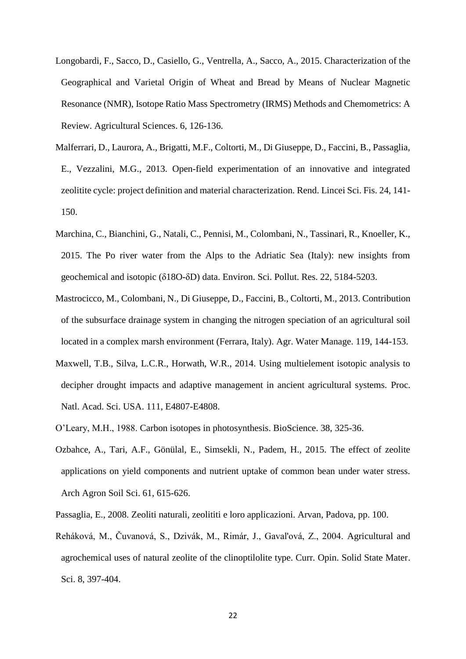- Longobardi, F., Sacco, D., Casiello, G., Ventrella, A., Sacco, A., 2015. Characterization of the Geographical and Varietal Origin of Wheat and Bread by Means of Nuclear Magnetic Resonance (NMR), Isotope Ratio Mass Spectrometry (IRMS) Methods and Chemometrics: A Review. Agricultural Sciences. 6, 126-136.
- Malferrari, D., Laurora, A., Brigatti, M.F., Coltorti, M., Di Giuseppe, D., Faccini, B., Passaglia, E., Vezzalini, M.G., 2013. Open-field experimentation of an innovative and integrated zeolitite cycle: project definition and material characterization. Rend. Lincei Sci. Fis. 24, 141- 150.
- Marchina, C., Bianchini, G., Natali, C., Pennisi, M., Colombani, N., Tassinari, R., Knoeller, K., 2015. The Po river water from the Alps to the Adriatic Sea (Italy): new insights from geochemical and isotopic (δ18O-δD) data. Environ. Sci. Pollut. Res. 22, 5184-5203.
- Mastrocicco, M., Colombani, N., Di Giuseppe, D., Faccini, B., Coltorti, M., 2013. Contribution of the subsurface drainage system in changing the nitrogen speciation of an agricultural soil located in a complex marsh environment (Ferrara, Italy). Agr. Water Manage. 119, 144-153.
- Maxwell, T.B., Silva, L.C.R., Horwath, W.R., 2014. Using multielement isotopic analysis to decipher drought impacts and adaptive management in ancient agricultural systems. Proc. Natl. Acad. Sci. USA. 111, E4807-E4808.
- O'Leary, M.H., 1988. Carbon isotopes in photosynthesis. BioScience. 38, 325-36.
- Ozbahce, A., Tari, A.F., Gönülal, E., Simsekli, N., Padem, H., 2015. The effect of zeolite applications on yield components and nutrient uptake of common bean under water stress. Arch Agron Soil Sci. 61, 615-626.
- Passaglia, E., 2008. Zeoliti naturali, zeolititi e loro applicazioni. Arvan, Padova, pp. 100.
- Reháková, M., Čuvanová, S., Dzivák, M., Rimár, J., Gaval'ová, Z., 2004. Agricultural and agrochemical uses of natural zeolite of the clinoptilolite type. Curr. Opin. Solid State Mater. Sci. 8, 397-404.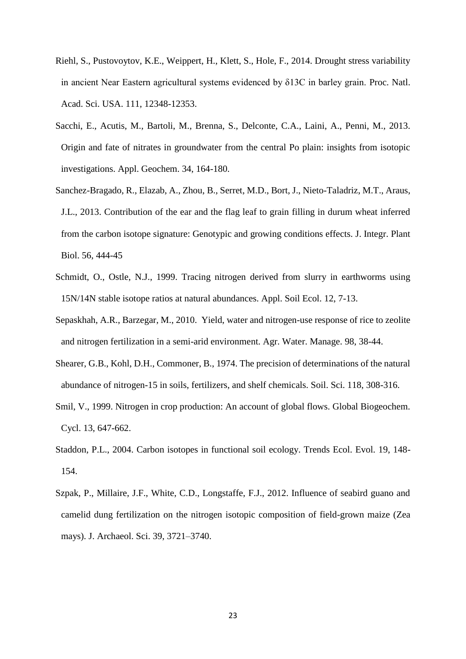- Riehl, S., Pustovoytov, K.E., Weippert, H., Klett, S., Hole, F., 2014. Drought stress variability in ancient Near Eastern agricultural systems evidenced by δ13C in barley grain. Proc. Natl. Acad. Sci. USA. 111, 12348-12353.
- Sacchi, E., Acutis, M., Bartoli, M., Brenna, S., Delconte, C.A., Laini, A., Penni, M., 2013. Origin and fate of nitrates in groundwater from the central Po plain: insights from isotopic investigations. Appl. Geochem. 34, 164-180.
- Sanchez-Bragado, R., Elazab, A., Zhou, B., Serret, M.D., Bort, J., Nieto-Taladriz, M.T., Araus, J.L., 2013. Contribution of the ear and the flag leaf to grain filling in durum wheat inferred from the carbon isotope signature: Genotypic and growing conditions effects. J. Integr. Plant Biol. 56, 444-45
- Schmidt, O., Ostle, N.J., 1999. Tracing nitrogen derived from slurry in earthworms using 15N/14N stable isotope ratios at natural abundances. Appl. Soil Ecol. 12, 7-13.
- Sepaskhah, A.R., Barzegar, M., 2010. Yield, water and nitrogen-use response of rice to zeolite and nitrogen fertilization in a semi-arid environment. Agr. Water. Manage. 98, 38-44.
- Shearer, G.B., Kohl, D.H., Commoner, B., 1974. The precision of determinations of the natural abundance of nitrogen-15 in soils, fertilizers, and shelf chemicals. Soil. Sci. 118, 308-316.
- Smil, V., 1999. Nitrogen in crop production: An account of global flows. Global Biogeochem. Cycl. 13, 647-662.
- Staddon, P.L., 2004. Carbon isotopes in functional soil ecology. Trends Ecol. Evol. 19, 148- 154.
- Szpak, P., Millaire, J.F., White, C.D., Longstaffe, F.J., 2012. Influence of seabird guano and camelid dung fertilization on the nitrogen isotopic composition of field-grown maize (Zea mays). J. Archaeol. Sci. 39, 3721–3740.